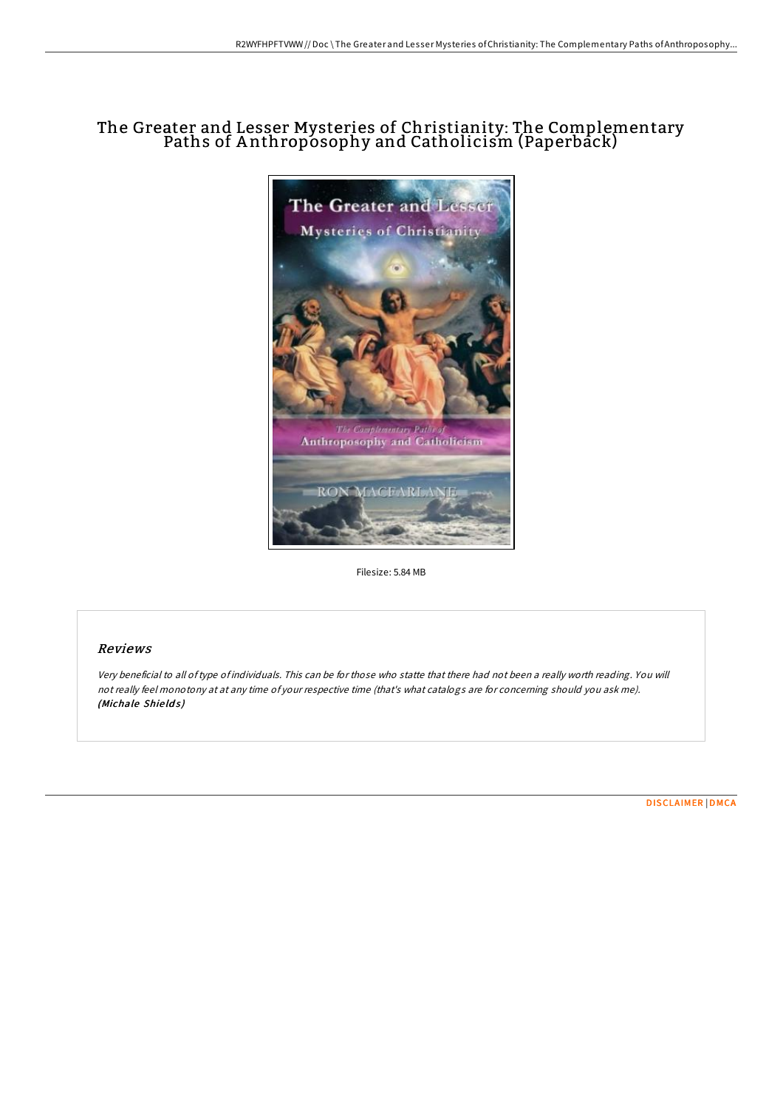# The Greater and Lesser Mysteries of Christianity: The Complementary Paths of A nthroposophy and Catholicism (Paperback)



Filesize: 5.84 MB

## Reviews

Very beneficial to all oftype of individuals. This can be for those who statte that there had not been <sup>a</sup> really worth reading. You will not really feel monotony at at any time of your respective time (that's what catalogs are for concerning should you ask me). (Michale Shields)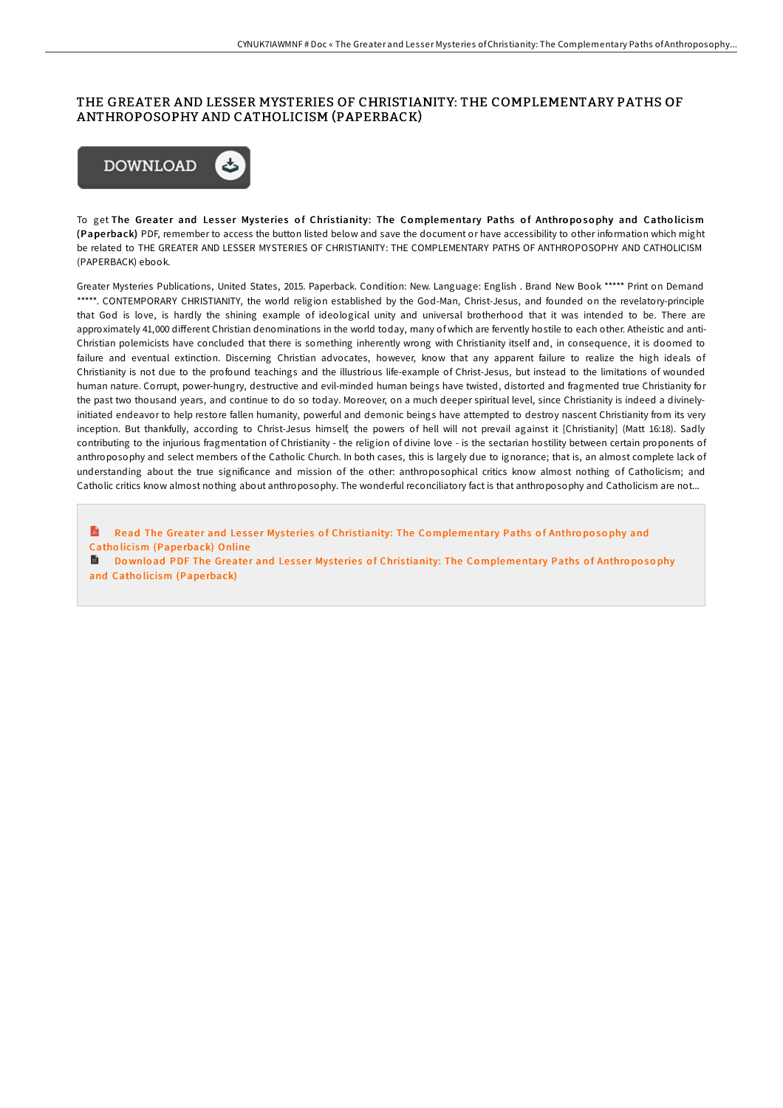## THE GREATER AND LESSER MYSTERIES OF CHRISTIANITY: THE COMPLEMENTARY PATHS OF ANTHROPOSOPHY AND CATHOLICISM (PAPERBACK)



To get The Greater and Lesser Mysteries of Christianity: The Complementary Paths of Anthroposophy and Catholicism (Pape rback) PDF, remember to access the button listed below and save the document or have accessibility to other information which might be related to THE GREATER AND LESSER MYSTERIES OF CHRISTIANITY: THE COMPLEMENTARY PATHS OF ANTHROPOSOPHY AND CATHOLICISM (PAPERBACK) ebook.

Greater Mysteries Publications, United States, 2015. Paperback. Condition: New. Language: English . Brand New Book \*\*\*\*\* Print on Demand \*\*\*\*\*. CONTEMPORARY CHRISTIANITY, the world religion established by the God-Man, Christ-Jesus, and founded on the revelatory-principle that God is love, is hardly the shining example of ideological unity and universal brotherhood that it was intended to be. There are approximately 41,000 different Christian denominations in the world today, many of which are fervently hostile to each other. Atheistic and anti-Christian polemicists have concluded that there is something inherently wrong with Christianity itself and, in consequence, it is doomed to failure and eventual extinction. Discerning Christian advocates, however, know that any apparent failure to realize the high ideals of Christianity is not due to the profound teachings and the illustrious life-example of Christ-Jesus, but instead to the limitations of wounded human nature. Corrupt, power-hungry, destructive and evil-minded human beings have twisted, distorted and fragmented true Christianity for the past two thousand years, and continue to do so today. Moreover, on a much deeper spiritual level, since Christianity is indeed a divinelyinitiated endeavor to help restore fallen humanity, powerful and demonic beings have attempted to destroy nascent Christianity from its very inception. But thankfully, according to Christ-Jesus himself, the powers of hell will not prevail against it [Christianity] (Matt 16:18). Sadly contributing to the injurious fragmentation of Christianity - the religion of divine love - is the sectarian hostility between certain proponents of anthroposophy and select members of the Catholic Church. In both cases, this is largely due to ignorance; that is, an almost complete lack of understanding about the true significance and mission of the other: anthroposophical critics know almost nothing of Catholicism; and Catholic critics know almost nothing about anthroposophy. The wonderful reconciliatory fact is that anthroposophy and Catholicism are not...

A Read The Greater and Lesser Mysteries of Christianity: The Co[mplementary](http://almighty24.tech/the-greater-and-lesser-mysteries-of-christianity.html) Paths of Anthroposophy and Catho licism (Pape rback) Online

Download PDF The Greater and Lesser Mysteries of Christianity: The Co[mplementary](http://almighty24.tech/the-greater-and-lesser-mysteries-of-christianity.html) Paths of Anthroposophy and Catholicism (Paperback)